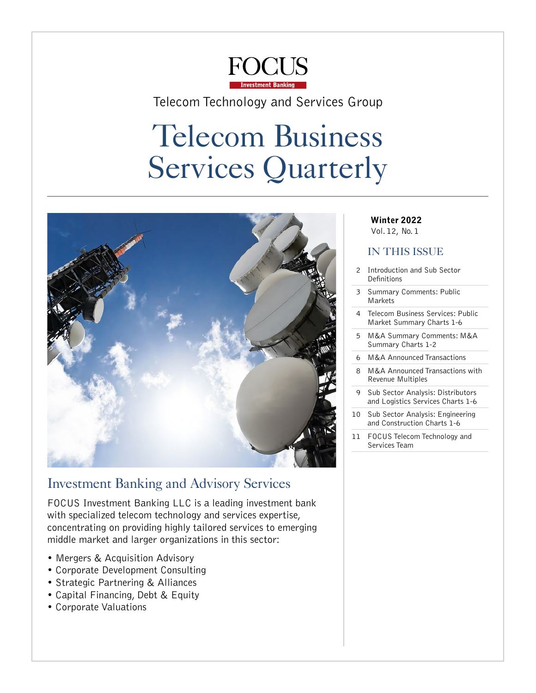

### <span id="page-0-0"></span>Telecom Technology and Services Group

# Telecom Business Services Quarterly



### Investment Banking and Advisory Services

FOCUS Investment Banking LLC is a leading investment bank with specialized telecom technology and services expertise, concentrating on providing highly tailored services to emerging middle market and larger organizations in this sector:

- Mergers & Acquisition Advisory
- Corporate Development Consulting
- Strategic Partnering & Alliances
- Capital Financing, Debt & Equity
- Corporate Valuations

### Winter 2022

Vol. 12, No. 1

### IN THIS ISSUE

- Introduction and Sub Sector [Definitions](#page-1-0)
- 3 [Summary Comments: Public](#page-2-0)  [Markets](#page-2-0)
- 4 [Telecom Business Services: Public](#page-3-0)  [Market Summary Charts 1-6](#page-3-0)
- 5 [M&A Summary Comments: M&A](#page-4-0)  [Summary Charts 1-2](#page-4-0)
- 6 [M&A Announced Transactions](#page-5-0)
- 8 [M&A Announced Transactions with](#page-7-0)  [Revenue Multiples](#page-7-0)
- 9 [Sub Sector Analysis: Distributors](#page-8-0)  [and Logistics Services Charts 1-6](#page-8-0)
- 10 [Sub Sector Analysis: Engineering](#page-9-0)  [and Construction Charts 1-6](#page-9-0)
- 11 FOCUS Telecom Technology and [Services Team](#page-10-0)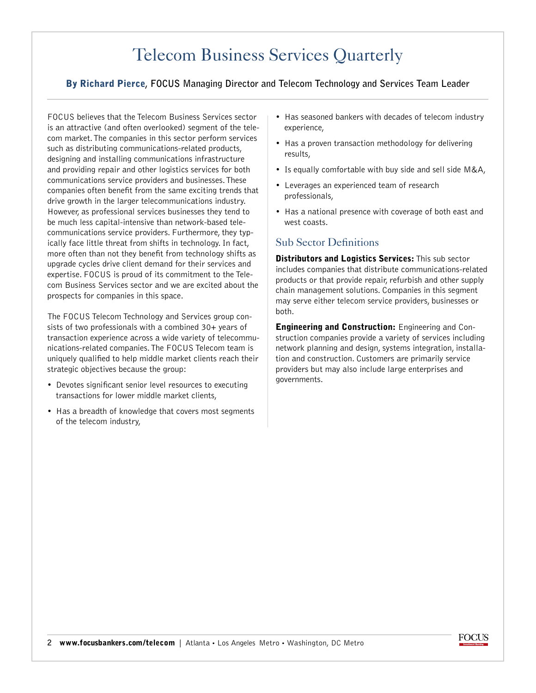### [Telecom Business Services Quarterly](#page-0-0)

#### <span id="page-1-0"></span>By Richard Pierce**, FOCUS Managing Director and Telecom Technology and Services Team Leader**

FOCUS believes that the Telecom Business Services sector is an attractive (and often overlooked) segment of the telecom market. The companies in this sector perform services such as distributing communications-related products, designing and installing communications infrastructure and providing repair and other logistics services for both communications service providers and businesses. These companies often benefit from the same exciting trends that drive growth in the larger telecommunications industry. However, as professional services businesses they tend to be much less capital-intensive than network-based telecommunications service providers. Furthermore, they typically face little threat from shifts in technology. In fact, more often than not they benefit from technology shifts as upgrade cycles drive client demand for their services and expertise. FOCUS is proud of its commitment to the Telecom Business Services sector and we are excited about the prospects for companies in this space.

The FOCUS Telecom Technology and Services group consists of two professionals with a combined 30+ years of transaction experience across a wide variety of telecommunications-related companies. The FOCUS Telecom team is uniquely qualified to help middle market clients reach their strategic objectives because the group:

- Devotes significant senior level resources to executing transactions for lower middle market clients,
- Has a breadth of knowledge that covers most segments of the telecom industry,
- Has seasoned bankers with decades of telecom industry experience,
- Has a proven transaction methodology for delivering results,
- Is equally comfortable with buy side and sell side M&A,
- Leverages an experienced team of research professionals,
- Has a national presence with coverage of both east and west coasts.

### Sub Sector Definitions

Distributors and Logistics Services: This sub sector includes companies that distribute communications-related products or that provide repair, refurbish and other supply chain management solutions. Companies in this segment may serve either telecom service providers, businesses or both.

Engineering and Construction: Engineering and Construction companies provide a variety of services including network planning and design, systems integration, installation and construction. Customers are primarily service providers but may also include large enterprises and governments.

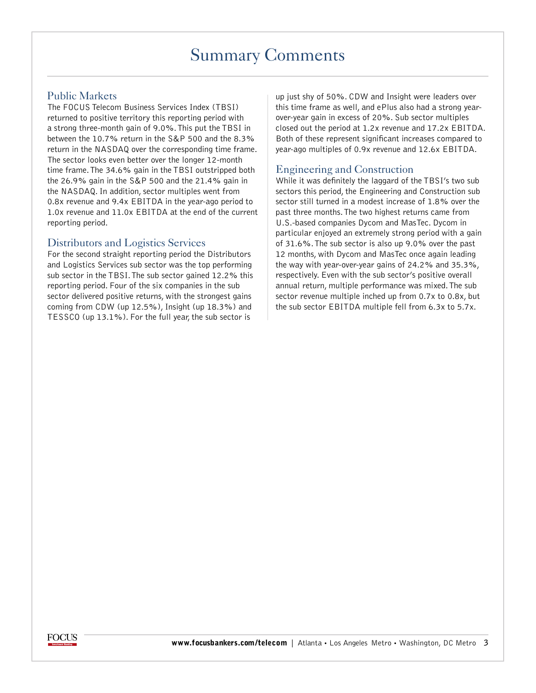### [Summary Comments](#page-0-0)

### <span id="page-2-0"></span>Public Markets

The FOCUS Telecom Business Services Index (TBSI) returned to positive territory this reporting period with a strong three-month gain of 9.0%. This put the TBSI in between the 10.7% return in the S&P 500 and the 8.3% return in the NASDAQ over the corresponding time frame. The sector looks even better over the longer 12-month time frame. The 34.6% gain in the TBSI outstripped both the 26.9% gain in the S&P 500 and the 21.4% gain in the NASDAQ. In addition, sector multiples went from 0.8x revenue and 9.4x EBITDA in the year-ago period to 1.0x revenue and 11.0x EBITDA at the end of the current reporting period.

#### Distributors and Logistics Services

For the second straight reporting period the Distributors and Logistics Services sub sector was the top performing sub sector in the TBSI. The sub sector gained 12.2% this reporting period. Four of the six companies in the sub sector delivered positive returns, with the strongest gains coming from CDW (up 12.5%), Insight (up 18.3%) and TESSCO (up 13.1%). For the full year, the sub sector is

up just shy of 50%. CDW and Insight were leaders over this time frame as well, and ePlus also had a strong yearover-year gain in excess of 20%. Sub sector multiples closed out the period at 1.2x revenue and 17.2x EBITDA. Both of these represent significant increases compared to year-ago multiples of 0.9x revenue and 12.6x EBITDA.

#### Engineering and Construction

While it was definitely the laggard of the TBSI's two sub sectors this period, the Engineering and Construction sub sector still turned in a modest increase of 1.8% over the past three months. The two highest returns came from U.S.-based companies Dycom and MasTec. Dycom in particular enjoyed an extremely strong period with a gain of 31.6%. The sub sector is also up 9.0% over the past 12 months, with Dycom and MasTec once again leading the way with year-over-year gains of 24.2% and 35.3%, respectively. Even with the sub sector's positive overall annual return, multiple performance was mixed. The sub sector revenue multiple inched up from 0.7x to 0.8x, but the sub sector EBITDA multiple fell from 6.3x to 5.7x.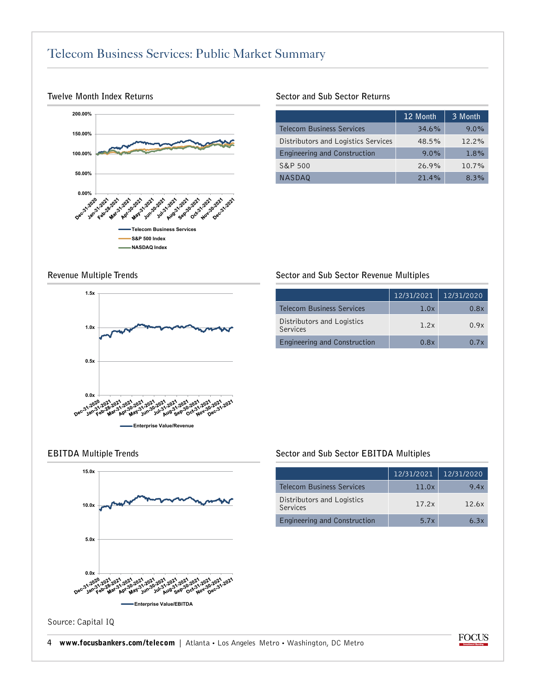### <span id="page-3-0"></span>[Telecom Business Services: Public Market Summary](#page-0-0)



#### **Twelve Month Index Returns**

#### **Sector and Sub Sector Returns**

|                                     | 12 Month | 3 Month  |
|-------------------------------------|----------|----------|
| <b>Telecom Business Services</b>    | 34.6%    | 9.0%     |
| Distributors and Logistics Services | 48.5%    | $12.2\%$ |
| Engineering and Construction        | $9.0\%$  | 1.8%     |
| S&P 500                             | 26.9%    | 10.7%    |
| <b>NASDAQ</b>                       | 21.4%    | 8.3%     |

#### **Revenue Multiple Trends**



#### **Sector and Sub Sector Revenue Multiples**

|                                        | 12/31/2021 | 12/31/2020 |
|----------------------------------------|------------|------------|
| <b>Telecom Business Services</b>       | 1.0x       | 0.8x       |
| Distributors and Logistics<br>Services | 1.2x       | 0.9x       |
| Engineering and Construction           | 0.8x       | 0.7x       |



#### **EBITDA Multiple Trends Sector and Sub Sector EBITDA Multiples**

|                                        | 12/31/2021 | 12/31/2020 |
|----------------------------------------|------------|------------|
| <b>Telecom Business Services</b>       | 11.0x      | 9.4x       |
| Distributors and Logistics<br>Services | 17.2x      | 12.6x      |
| Engineering and Construction           | 5.7x       | 63x        |

Source: Capital IQ

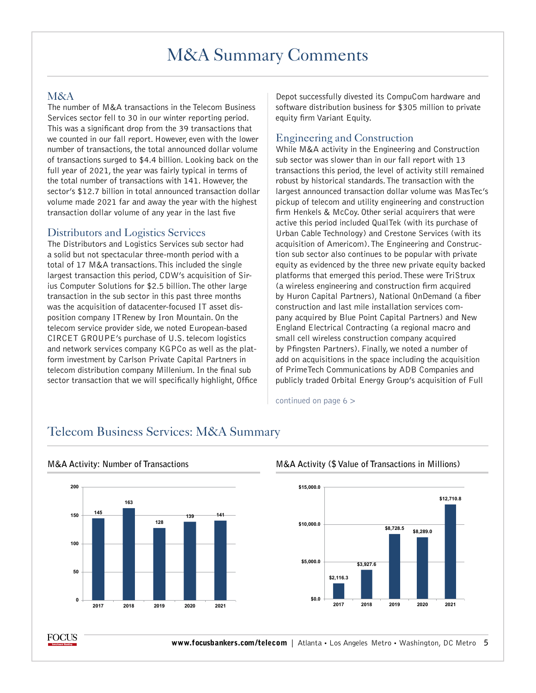## [M&A Summary Comments](#page-0-0)

#### <span id="page-4-0"></span>M&A

The number of M&A transactions in the Telecom Business Services sector fell to 30 in our winter reporting period. This was a significant drop from the 39 transactions that we counted in our fall report. However, even with the lower number of transactions, the total announced dollar volume of transactions surged to \$4.4 billion. Looking back on the full year of 2021, the year was fairly typical in terms of the total number of transactions with 141. However, the sector's \$12.7 billion in total announced transaction dollar volume made 2021 far and away the year with the highest transaction dollar volume of any year in the last five

#### Distributors and Logistics Services

The Distributors and Logistics Services sub sector had a solid but not spectacular three-month period with a total of 17 M&A transactions. This included the single largest transaction this period, CDW's acquisition of Sirius Computer Solutions for \$2.5 billion. The other large transaction in the sub sector in this past three months was the acquisition of datacenter-focused IT asset disposition company ITRenew by Iron Mountain. On the telecom service provider side, we noted European-based CIRCET GROUPE's purchase of U.S. telecom logistics and network services company KGPCo as well as the platform investment by Carlson Private Capital Partners in telecom distribution company Millenium. In the final sub sector transaction that we will specifically highlight, Office

Depot successfully divested its CompuCom hardware and software distribution business for \$305 million to private equity firm Variant Equity.

#### Engineering and Construction

While M&A activity in the Engineering and Construction sub sector was slower than in our fall report with 13 transactions this period, the level of activity still remained robust by historical standards. The transaction with the largest announced transaction dollar volume was MasTec's pickup of telecom and utility engineering and construction firm Henkels & McCoy. Other serial acquirers that were active this period included QualTek (with its purchase of Urban Cable Technology) and Crestone Services (with its acquisition of Americom). The Engineering and Construction sub sector also continues to be popular with private equity as evidenced by the three new private equity backed platforms that emerged this period. These were TriStrux (a wireless engineering and construction firm acquired by Huron Capital Partners), National OnDemand (a fiber construction and last mile installation services company acquired by Blue Point Capital Partners) and New England Electrical Contracting (a regional macro and small cell wireless construction company acquired by Pfingsten Partners). Finally, we noted a number of add on acquisitions in the space including the acquisition of PrimeTech Communications by ADB Companies and publicly traded Orbital Energy Group's acquisition of Full

continued on page 6 >



## Telecom Business Services: M&A Summary



#### **M&A Activity: Number of Transactions M&A Activity (\$ Value of Transactions in Millions)**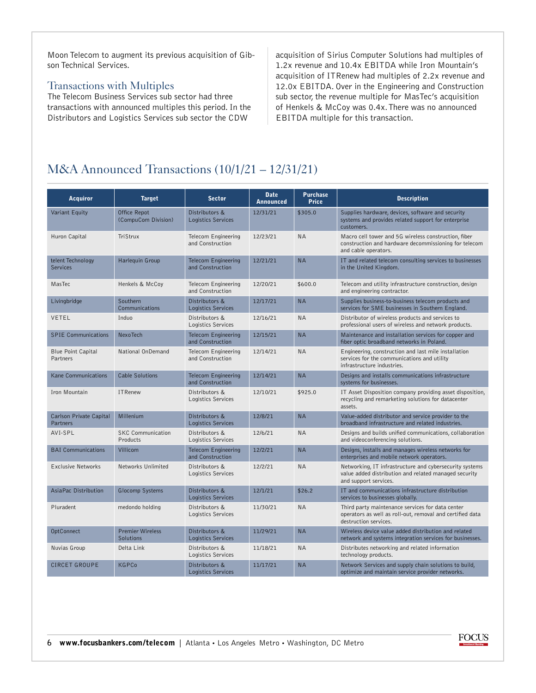<span id="page-5-0"></span>Moon Telecom to augment its previous acquisition of Gibson Technical Services.

#### Transactions with Multiples

The Telecom Business Services sub sector had three transactions with announced multiples this period. In the Distributors and Logistics Services sub sector the CDW

acquisition of Sirius Computer Solutions had multiples of 1.2x revenue and 10.4x EBITDA while Iron Mountain's acquisition of ITRenew had multiples of 2.2x revenue and 12.0x EBITDA. Over in the Engineering and Construction sub sector, the revenue multiple for MasTec's acquisition of Henkels & McCoy was 0.4x. There was no announced EBITDA multiple for this transaction.

### [M&A Announced Transactions \(10/1/21 – 12/31/21\)](#page-0-0)

| <b>Acquiror</b>                      | <b>Target</b>                        | <b>Sector</b>                                  | <b>Date</b><br><b>Announced</b> | <b>Purchase</b><br><b>Price</b> | <b>Description</b>                                                                                                                        |
|--------------------------------------|--------------------------------------|------------------------------------------------|---------------------------------|---------------------------------|-------------------------------------------------------------------------------------------------------------------------------------------|
| Variant Equity                       | Office Repot<br>(CompuCom Division)  | Distributors &<br>Logistics Services           | 12/31/21                        | \$305.0                         | Supplies hardware, devices, software and security<br>systems and provides related support for enterprise<br>customers.                    |
| Huron Capital                        | TriStrux                             | Telecom Engineering<br>and Construction        | 12/23/21                        | <b>NA</b>                       | Macro cell tower and 5G wireless construction, fiber<br>construction and hardware decommissioning for telecom<br>and cable operators.     |
| telent Technology<br><b>Services</b> | Harlequin Group                      | <b>Telecom Engineering</b><br>and Construction | 12/21/21                        | <b>NA</b>                       | IT and related telecom consulting services to businesses<br>in the United Kingdom.                                                        |
| MasTec                               | Henkels & McCoy                      | Telecom Engineering<br>and Construction        | 12/20/21                        | \$600.0                         | Telecom and utility infrastructure construction, design<br>and engineering contractor.                                                    |
| Livingbridge                         | Southern<br>Communications           | Distributors &<br>Logistics Services           | 12/17/21                        | <b>NA</b>                       | Supplies business-to-business telecom products and<br>services for SME businesses in Southern England.                                    |
| VETEL                                | Induo                                | Distributors &<br>Logistics Services           | 12/16/21                        | <b>NA</b>                       | Distributor of wireless products and services to<br>professional users of wireless and network products.                                  |
| <b>SPIE Communications</b>           | <b>NexoTech</b>                      | <b>Telecom Engineering</b><br>and Construction | 12/15/21                        | <b>NA</b>                       | Maintenance and installation services for copper and<br>fiber optic broadband networks in Poland.                                         |
| Blue Point Capital<br>Partners       | National OnDemand                    | Telecom Engineering<br>and Construction        | 12/14/21                        | <b>NA</b>                       | Engineering, construction and last mile installation<br>services for the communications and utility<br>infrastructure industries.         |
| Kane Communications                  | <b>Cable Solutions</b>               | <b>Telecom Engineering</b><br>and Construction | 12/14/21                        | <b>NA</b>                       | Designs and installs communications infrastructure<br>systems for businesses.                                                             |
| Iron Mountain                        | <b>ITRenew</b>                       | Distributors &<br>Logistics Services           | 12/10/21                        | \$925.0                         | IT Asset Disposition company providing asset disposition,<br>recycling and remarketing solutions for datacenter<br>assets.                |
| Carlson Private Capital<br>Partners  | Millenium                            | Distributors &<br>Logistics Services           | 12/8/21                         | <b>NA</b>                       | Value-added distributor and service provider to the<br>broadband infrastructure and related industries.                                   |
| AVI-SPL                              | <b>SKC Communication</b><br>Products | Distributors &<br>Logistics Services           | 12/6/21                         | <b>NA</b>                       | Designs and builds unified communications, collaboration<br>and videoconferencing solutions.                                              |
| <b>BAI</b> Communications            | Villicom                             | <b>Telecom Engineering</b><br>and Construction | 12/2/21                         | <b>NA</b>                       | Designs, installs and manages wireless networks for<br>enterprises and mobile network operators.                                          |
| <b>Exclusive Networks</b>            | Networks Unlimited                   | Distributors &<br>Logistics Services           | 12/2/21                         | <b>NA</b>                       | Networking, IT infrastructure and cybersecurity systems<br>value added distribution and related managed security<br>and support services. |
| AsiaPac Distribution                 | Glocomp Systems                      | Distributors &<br>Logistics Services           | 12/1/21                         | \$26.2                          | IT and communications infrastructure distribution<br>services to businesses globally.                                                     |
| Pluradent                            | medondo holding                      | Distributors &<br>Logistics Services           | 11/30/21                        | <b>NA</b>                       | Third party maintenance services for data center<br>operators as well as roll-out, removal and certified data<br>destruction services.    |
| OptConnect                           | <b>Premier Wireless</b><br>Solutions | Distributors &<br>Logistics Services           | 11/29/21                        | <b>NA</b>                       | Wireless device value added distribution and related<br>network and systems integration services for businesses.                          |
| Nuvias Group                         | Delta Link                           | Distributors &<br>Logistics Services           | 11/18/21                        | <b>NA</b>                       | Distributes networking and related information<br>technology products.                                                                    |
| <b>CIRCET GROUPE</b>                 | <b>KGPCo</b>                         | Distributors &<br>Logistics Services           | 11/17/21                        | <b>NA</b>                       | Network Services and supply chain solutions to build,<br>optimize and maintain service provider networks.                                 |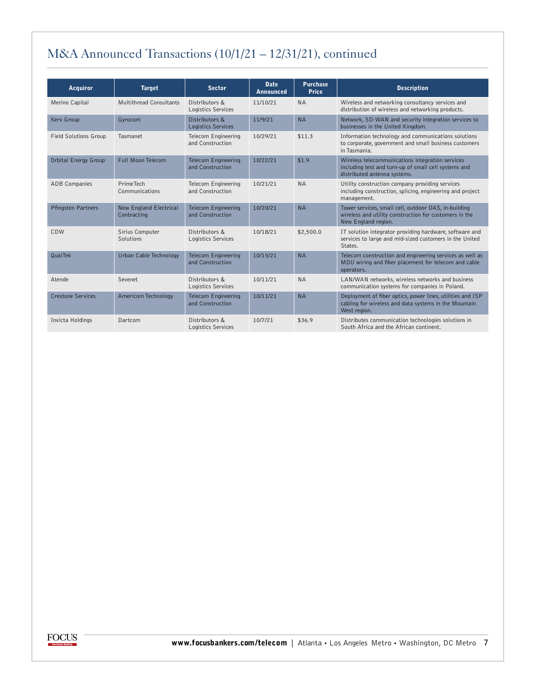### [M&A Announced Transactions \(10/1/21 – 12/31/21\),](#page-0-0) continued

| <b>Acquiror</b>              | <b>Target</b>                                | <b>Sector</b>                                  | <b>Date</b><br><b>Announced</b> | <b>Purchase</b><br><b>Price</b> | <b>Description</b>                                                                                                                       |
|------------------------------|----------------------------------------------|------------------------------------------------|---------------------------------|---------------------------------|------------------------------------------------------------------------------------------------------------------------------------------|
| Merino Capital               | <b>Multithread Consultants</b>               | Distributors &<br>Logistics Services           | 11/10/21                        | <b>NA</b>                       | Wireless and networking consultancy services and<br>distribution of wireless and networking products.                                    |
| Kerv Group                   | Gyrocom                                      | Distributors &<br>Logistics Services           | 11/9/21                         | <b>NA</b>                       | Network, SD-WAN and security integration services to<br>businesses in the United Kingdom.                                                |
| <b>Field Solutions Group</b> | Tasmanet                                     | Telecom Engineering<br>and Construction        | 10/29/21                        | \$11.3                          | Information technology and communications solutions<br>to corporate, government and small business customers<br>in Tasmania.             |
| Orbital Energy Group         | Full Moon Telecom                            | <b>Telecom Engineering</b><br>and Construction | 10/22/21                        | \$1.9                           | Wireless telecommunications integration services<br>including test and turn-up of small cell systems and<br>distributed antenna systems. |
| <b>ADB Companies</b>         | <b>PrimeTech</b><br>Communications           | Telecom Engineering<br>and Construction        | 10/21/21                        | <b>NA</b>                       | Utility construction company providing services<br>including construction, splicing, engineering and project<br>management.              |
| Pfingsten Partners           | <b>New England Electrical</b><br>Contracting | <b>Telecom Engineering</b><br>and Construction | 10/20/21                        | <b>NA</b>                       | Tower services, small cell, outdoor DAS, in-building<br>wireless and utility construction for customers in the<br>New England region.    |
| CDW                          | Sirius Computer<br>Solutions                 | Distributors &<br>Logistics Services           | 10/18/21                        | \$2,500.0                       | IT solution integrator providing hardware, software and<br>services to large and mid-sized customers in the United<br>States.            |
| QualTek                      | Urban Cable Technology                       | <b>Telecom Engineering</b><br>and Construction | 10/15/21                        | <b>NA</b>                       | Telecom construction and engineering services as well as<br>MDU wiring and fiber placement for telecom and cable<br>operators.           |
| Atende                       | Sevenet                                      | Distributors &<br>Logistics Services           | 10/11/21                        | <b>NA</b>                       | LAN/WAN networks, wireless networks and business<br>communication systems for companies in Poland.                                       |
| <b>Crestone Services</b>     | Americom Technology                          | <b>Telecom Engineering</b><br>and Construction | 10/11/21                        | <b>NA</b>                       | Deployment of fiber optics, power lines, utilities and ISP<br>cabling for wireless and data systems in the Mountain<br>West region.      |
| Invicta Holdings             | Dartcom                                      | Distributors &<br>Logistics Services           | 10/7/21                         | \$36.9                          | Distributes communication technologies solutions in<br>South Africa and the African continent.                                           |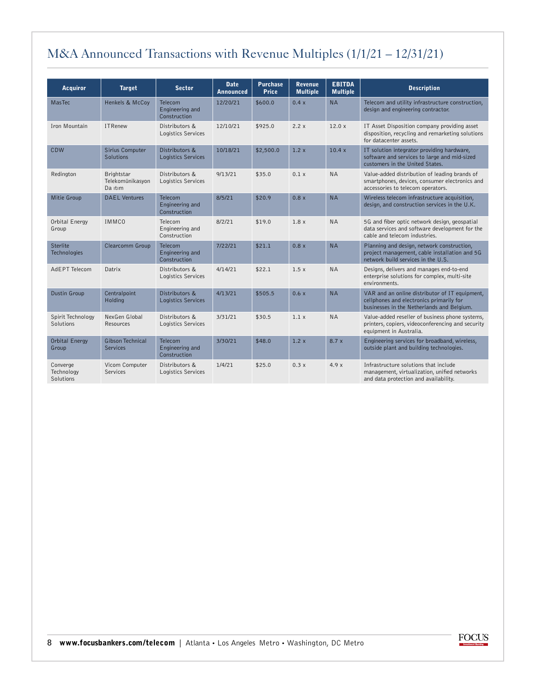### <span id="page-7-0"></span>[M&A Announced Transactions with Revenue Multiples \(1/1/21 – 12/31/21\)](#page-0-0)

| <b>Acquiror</b>                     | <b>Target</b>                              | <b>Sector</b>                              | <b>Date</b><br><b>Announced</b> | <b>Purchase</b><br><b>Price</b> | <b>Revenue</b><br><b>Multiple</b> | <b>EBITDA</b><br><b>Multiple</b> | <b>Description</b>                                                                                                                       |
|-------------------------------------|--------------------------------------------|--------------------------------------------|---------------------------------|---------------------------------|-----------------------------------|----------------------------------|------------------------------------------------------------------------------------------------------------------------------------------|
| MasTec                              | Henkels & McCoy                            | Telecom<br>Engineering and<br>Construction | 12/20/21                        | \$600.0                         | 0.4 x                             | <b>NA</b>                        | Telecom and utility infrastructure construction,<br>design and engineering contractor.                                                   |
| Iron Mountain                       | <b>ITRenew</b>                             | Distributors &<br>Logistics Services       | 12/10/21                        | \$925.0                         | 2.2x                              | 12.0x                            | IT Asset Disposition company providing asset<br>disposition, recycling and remarketing solutions<br>for datacenter assets.               |
| CDW                                 | Sirius Computer<br>Solutions               | Distributors &<br>Logistics Services       | 10/18/21                        | \$2,500.0                       | 1.2x                              | 10.4x                            | IT solution integrator providing hardware,<br>software and services to large and mid-sized<br>customers in the United States.            |
| Redington                           | Brightstar<br>Telekomünikasyon<br>Da itim  | Distributors &<br>Logistics Services       | 9/13/21                         | \$35.0                          | 0.1 x                             | <b>NA</b>                        | Value-added distribution of leading brands of<br>smartphones, devices, consumer electronics and<br>accessories to telecom operators.     |
| Mitie Group                         | <b>DAEL Ventures</b>                       | Telecom<br>Engineering and<br>Construction | 8/5/21                          | \$20.9                          | 0.8 x                             | <b>NA</b>                        | Wireless telecom infrastructure acquisition,<br>design, and construction services in the U.K.                                            |
| Orbital Energy<br>Group             | <b>IMMCO</b>                               | Telecom<br>Engineering and<br>Construction | 8/2/21                          | \$19.0                          | 1.8x                              | <b>NA</b>                        | 5G and fiber optic network design, geospatial<br>data services and software development for the<br>cable and telecom industries.         |
| Sterlite<br><b>Technologies</b>     | Clearcomm Group                            | Telecom<br>Engineering and<br>Construction | 7/22/21                         | \$21.1                          | 0.8x                              | <b>NA</b>                        | Planning and design, network construction,<br>project management, cable installation and 5G<br>network build services in the U.S.        |
| AdEPT Telecom                       | Datrix                                     | Distributors &<br>Logistics Services       | 4/14/21                         | \$22.1                          | 1.5x                              | <b>NA</b>                        | Designs, delivers and manages end-to-end<br>enterprise solutions for complex, multi-site<br>environments.                                |
| Dustin Group                        | Centralpoint<br>Holding                    | Distributors &<br>Logistics Services       | 4/13/21                         | \$505.5                         | 0.6x                              | <b>NA</b>                        | VAR and an online distributor of IT equipment,<br>cellphones and electronics primarily for<br>businesses in the Netherlands and Belgium. |
| Spirit Technology<br>Solutions      | NexGen Global<br>Resources                 | Distributors &<br>Logistics Services       | 3/31/21                         | \$30.5                          | 1.1x                              | <b>NA</b>                        | Value-added reseller of business phone systems,<br>printers, copiers, videoconferencing and security<br>equipment in Australia.          |
| Orbital Energy<br>Group             | <b>Gibson Technical</b><br><b>Services</b> | Telecom<br>Engineering and<br>Construction | 3/30/21                         | \$48.0                          | 1.2x                              | 8.7x                             | Engineering services for broadband, wireless,<br>outside plant and building technologies.                                                |
| Converge<br>Technology<br>Solutions | Vicom Computer<br>Services                 | Distributors &<br>Logistics Services       | 1/4/21                          | \$25.0                          | 0.3x                              | 4.9x                             | Infrastructure solutions that include<br>management, virtualization, unified networks<br>and data protection and availability.           |

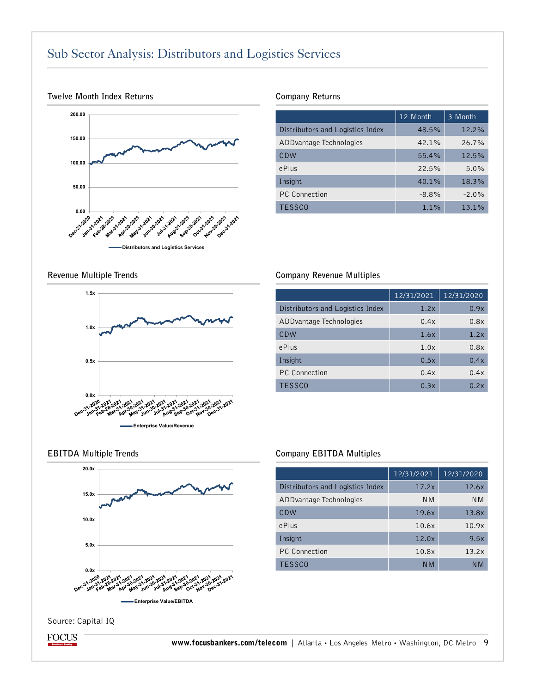### <span id="page-8-0"></span>[Sub Sector Analysis: Distributors and Logistics Services](#page-0-0)



#### **Twelve Month Index Returns**

#### **Company Returns**

|                                  | 12 Month  | 3 Month  |
|----------------------------------|-----------|----------|
| Distributors and Logistics Index | 48.5%     | $12.2\%$ |
| ADD vantage Technologies         | $-42.1\%$ | $-26.7%$ |
| CDW                              | 55.4%     | 12.5%    |
| ePlus                            | 22.5%     | 5.0%     |
| Insight                          | 40.1%     | 18.3%    |
| <b>PC</b> Connection             | $-8.8\%$  | $-2.0%$  |
| <b>TESSCO</b>                    | 1.1%      | 13.1%    |

**Revenue Multiple Trends** 



#### **Company Revenue Multiples**

|                                  | 12/31/2021 | 12/31/2020 |
|----------------------------------|------------|------------|
| Distributors and Logistics Index | 1.2x       | 0.9x       |
| ADD vantage Technologies         | 0.4x       | 0.8x       |
| CDW                              | 1.6x       | 1.2x       |
| ePlus                            | 1.0x       | 0.8x       |
| Insight                          | 0.5x       | 0.4x       |
| <b>PC</b> Connection             | 0.4x       | 0.4x       |
| <b>TESSCO</b>                    | 0.3x       | 0.2x       |



#### **EBITDA Multiple Trends Company EBITDA Multiples**

|                                  | 12/31/2021     | 12/31/2020     |
|----------------------------------|----------------|----------------|
| Distributors and Logistics Index | 17.2x          | 12.6x          |
| ADD vantage Technologies         | N <sub>M</sub> | N <sub>M</sub> |
| CDW                              | 19.6x          | 13.8x          |
| ePlus                            | 10.6x          | 10.9x          |
| Insight                          | 12.0x          | 9.5x           |
| <b>PC</b> Connection             | 10.8x          | 13.2x          |
| <b>TESSCO</b>                    | N M            | N M            |

Source: Capital IQ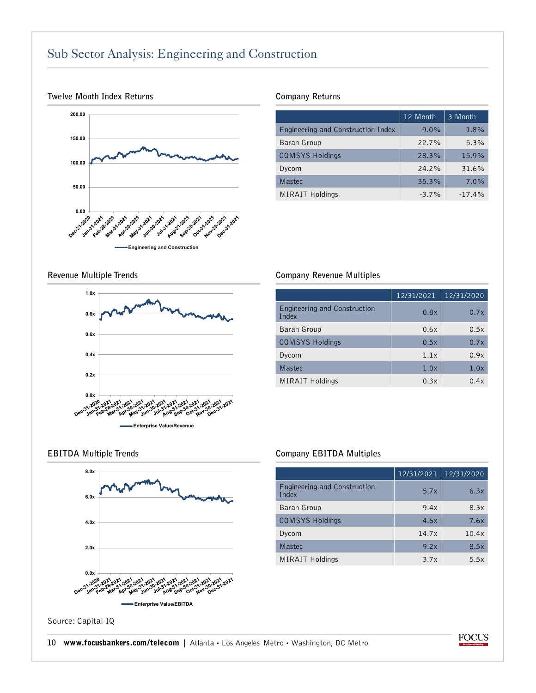### <span id="page-9-0"></span>[Sub Sector Analysis: Engineering and Construction](#page-0-0)



#### **Twelve Month Index Returns**

#### **Company Returns**

|                                    | 12 Month | 3 Month  |
|------------------------------------|----------|----------|
| Engineering and Construction Index | $9.0\%$  | 1.8%     |
| Baran Group                        | 22.7%    | 5.3%     |
| <b>COMSYS Holdings</b>             | $-28.3%$ | $-15.9%$ |
| Dycom                              | 24.2%    | 31.6%    |
| Mastec                             | 35.3%    | 7.0%     |
| <b>MIRAIT Holdings</b>             | $-3.7\%$ | $-17.4%$ |

**Revenue Multiple Trends** 



#### **Company Revenue Multiples**

|                                       | 12/31/2021 | 12/31/2020 |
|---------------------------------------|------------|------------|
| Engineering and Construction<br>Index | 0.8x       | 0.7x       |
| Baran Group                           | 0.6x       | 0.5x       |
| <b>COMSYS Holdings</b>                | 0.5x       | 0.7x       |
| Dycom                                 | 1.1x       | 0.9x       |
| Mastec                                | 1.0x       | 1.0x       |
| <b>MIRAIT Holdings</b>                | 0.3x       | 0.4x       |



#### **EBITDA Multiple Trends Company EBITDA Multiples**

|                                       | 12/31/2021 | 12/31/2020 |
|---------------------------------------|------------|------------|
| Engineering and Construction<br>Index | 5.7x       | 6.3x       |
| Baran Group                           | 9.4x       | 8.3x       |
| <b>COMSYS Holdings</b>                | 4.6x       | 7.6x       |
| Dycom                                 | 14.7x      | 10.4x      |
| Mastec                                | 9.2x       | 8.5x       |
| <b>MIRAIT Holdings</b>                | 3.7x       | 5.5x       |

Source: Capital IQ

#### 10 [www.focusbankers.com/telecom](http://www.focusbankers.com/telecom) | Atlanta · Los Angeles Metro · Washington, DC Metro